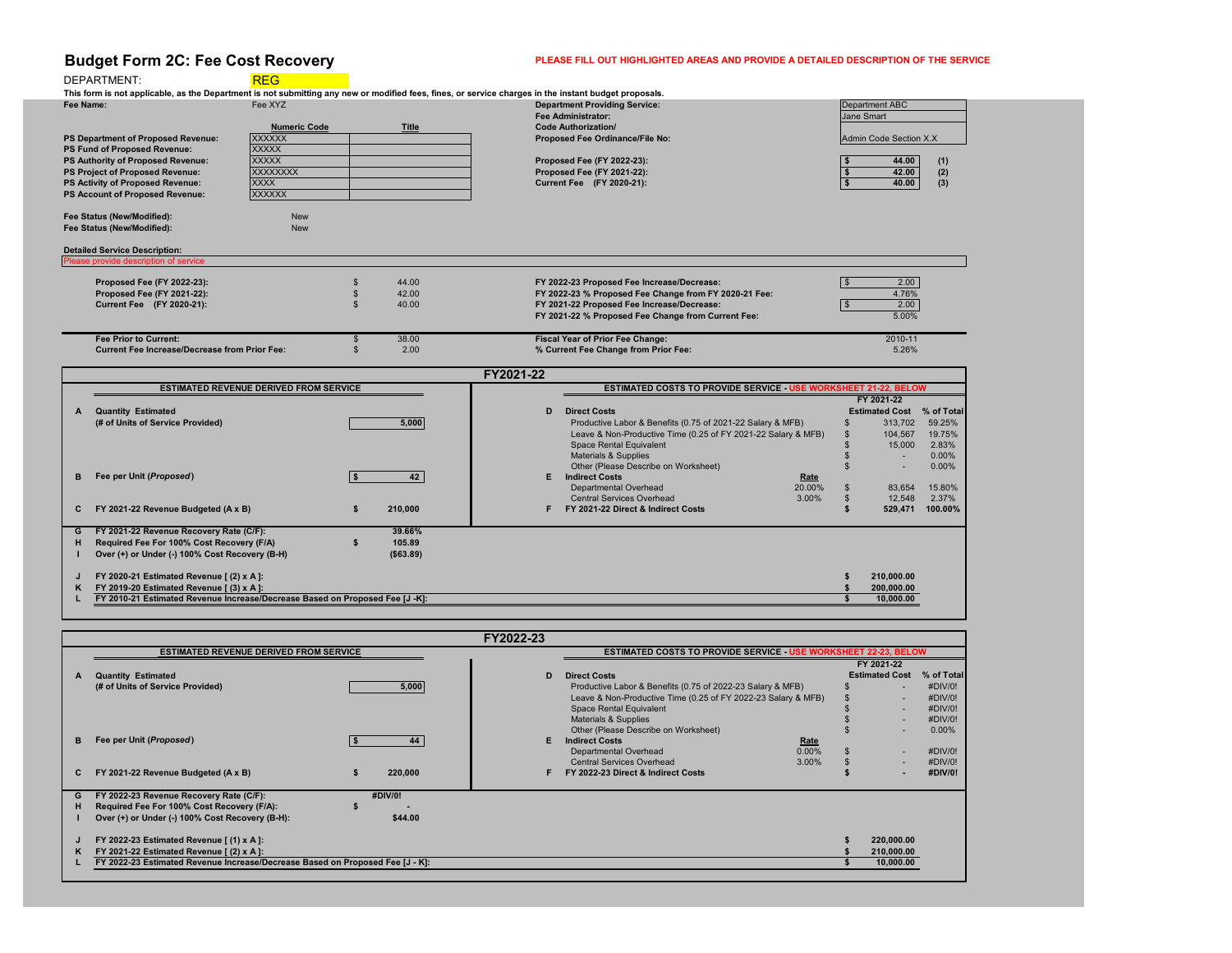# **Budget Form 2C: Fee Cost Recovery PLEASE FILL OUT HIGHLIGHTED AREAS AND PROVIDE A DETAILED DESCRIPTION OF THE SERVICE**

## DEPARTMENT: REG

|    |                                                                              |  |           | <b>FY2021-22</b> |                                                                        |        |  |                          |            |
|----|------------------------------------------------------------------------------|--|-----------|------------------|------------------------------------------------------------------------|--------|--|--------------------------|------------|
|    | <b>ESTIMATED REVENUE DERIVED FROM SERVICE</b>                                |  |           |                  | <b>ESTIMATED COSTS TO PROVIDE SERVICE - USE WORKSHEET 21-22, BELOW</b> |        |  |                          |            |
|    |                                                                              |  |           |                  |                                                                        |        |  | FY 2021-22               |            |
|    | <b>Quantity Estimated</b>                                                    |  |           | D                | <b>Direct Costs</b>                                                    |        |  | <b>Estimated Cost</b>    | % of Total |
|    | (# of Units of Service Provided)                                             |  | 5,000     |                  | Productive Labor & Benefits (0.75 of 2021-22 Salary & MFB)             |        |  | 313,702                  | 59.25%     |
|    |                                                                              |  |           |                  | Leave & Non-Productive Time (0.25 of FY 2021-22 Salary & MFB)          |        |  | 104,567                  | 19.75%     |
|    |                                                                              |  |           |                  | <b>Space Rental Equivalent</b>                                         |        |  | 15,000                   | 2.83%      |
|    |                                                                              |  |           |                  | <b>Materials &amp; Supplies</b>                                        |        |  | $\overline{\phantom{0}}$ | $0.00\%$   |
|    |                                                                              |  |           |                  | Other (Please Describe on Worksheet)                                   |        |  |                          | $0.00\%$   |
|    | Fee per Unit (Proposed)                                                      |  | 42        | Е.               | <b>Indirect Costs</b>                                                  | Rate   |  |                          |            |
|    |                                                                              |  |           |                  | Departmental Overhead                                                  | 20.00% |  | 83,654                   | 15.80%     |
|    |                                                                              |  |           |                  | <b>Central Services Overhead</b>                                       | 3.00%  |  | 12,548                   | 2.37%      |
|    | FY 2021-22 Revenue Budgeted (A x B)                                          |  | 210,000   |                  | FY 2021-22 Direct & Indirect Costs                                     |        |  | 529,471                  | 100.00%    |
|    |                                                                              |  | 39.66%    |                  |                                                                        |        |  |                          |            |
| G  | FY 2021-22 Revenue Recovery Rate (C/F):                                      |  |           |                  |                                                                        |        |  |                          |            |
| н. | Required Fee For 100% Cost Recovery (F/A)                                    |  | 105.89    |                  |                                                                        |        |  |                          |            |
|    | Over (+) or Under (-) 100% Cost Recovery (B-H)                               |  | (\$63.89) |                  |                                                                        |        |  |                          |            |
|    | FY 2020-21 Estimated Revenue [ (2) x A ]:                                    |  |           |                  |                                                                        |        |  | 210,000.00               |            |
| K. | FY 2019-20 Estimated Revenue [(3) x A]:                                      |  |           |                  |                                                                        |        |  | 200,000.00               |            |
|    | FY 2010-21 Estimated Revenue Increase/Decrease Based on Proposed Fee [J -K]: |  |           |                  |                                                                        |        |  | 10,000.00                |            |
|    |                                                                              |  |           |                  |                                                                        |        |  |                          |            |

**Fee Name: This form is not applicable, as the Department is not submitting any new or modified fees, fines, or service charges in the instant budget proposals.** Fee XYZ **Department Providing Service:** 

|                                                      |                                               |              | <b>Fee Administrator:</b>                                              | <b>Jane Smart</b>      |            |
|------------------------------------------------------|-----------------------------------------------|--------------|------------------------------------------------------------------------|------------------------|------------|
|                                                      | <b>Numeric Code</b>                           | <b>Title</b> | <b>Code Authorization/</b>                                             |                        |            |
| <b>PS Department of Proposed Revenue:</b>            | <b>XXXXXX</b>                                 |              | <b>Proposed Fee Ordinance/File No:</b>                                 | Admin Code Section X.X |            |
| <b>PS Fund of Proposed Revenue:</b>                  | <b>XXXXX</b>                                  |              |                                                                        |                        |            |
| PS Authority of Proposed Revenue:                    | <b>XXXXX</b>                                  |              | <b>Proposed Fee (FY 2022-23):</b>                                      | 44.00                  | (1)        |
| <b>PS Project of Proposed Revenue:</b>               | <b>XXXXXXXX</b>                               |              | <b>Proposed Fee (FY 2021-22):</b>                                      | 42.00                  | (2)        |
| <b>PS Activity of Proposed Revenue:</b>              | <b>XXXX</b>                                   |              | <b>Current Fee</b> (FY 2020-21):                                       | 40.00                  | (3)        |
| <b>PS Account of Proposed Revenue:</b>               | <b>XXXXXX</b>                                 |              |                                                                        |                        |            |
| <b>Fee Status (New/Modified):</b>                    | <b>New</b>                                    |              |                                                                        |                        |            |
| <b>Fee Status (New/Modified):</b>                    | <b>New</b>                                    |              |                                                                        |                        |            |
| <b>Detailed Service Description:</b>                 |                                               |              |                                                                        |                        |            |
| Please provide description of service                |                                               |              |                                                                        |                        |            |
| <b>Proposed Fee (FY 2022-23):</b>                    |                                               | 44.00        | FY 2022-23 Proposed Fee Increase/Decrease:                             | 2.00                   |            |
| Proposed Fee (FY 2021-22):                           |                                               | 42.00        | FY 2022-23 % Proposed Fee Change from FY 2020-21 Fee:                  | 4.76%                  |            |
| <b>Current Fee</b> (FY 2020-21):                     |                                               | 40.00        | FY 2021-22 Proposed Fee Increase/Decrease:                             | 2.00                   |            |
|                                                      |                                               |              | FY 2021-22 % Proposed Fee Change from Current Fee:                     | 5.00%                  |            |
| <b>Fee Prior to Current:</b>                         |                                               | 38.00        | <b>Fiscal Year of Prior Fee Change:</b>                                | 2010-11                |            |
| <b>Current Fee Increase/Decrease from Prior Fee:</b> |                                               | 2.00         | % Current Fee Change from Prior Fee:                                   | 5.26%                  |            |
|                                                      |                                               |              | FY2021-22                                                              |                        |            |
|                                                      | <b>ESTIMATED REVENUE DERIVED FROM SERVICE</b> |              | <b>ESTIMATED COSTS TO PROVIDE SERVICE - USE WORKSHEET 21-22, BELOW</b> |                        |            |
|                                                      |                                               |              |                                                                        | FY 2021-22             |            |
| <b>Quantity Estimated</b><br>A                       |                                               |              | <b>Direct Costs</b><br>D                                               | <b>Estimated Cost</b>  | % of Total |
| (# of Units of Service Provided)                     |                                               | 5,000        | Productive Labor & Benefits (0.75 of 2021-22 Salary & MFB)             | 313,702                | 59.25%     |
|                                                      |                                               |              | Leave & Non-Productive Time (0.25 of FY 2021-22 Salary & MFB)          | 104,567                | 19.75%     |
|                                                      |                                               |              |                                                                        |                        |            |

|    |                                                                               |         |         | FY2022-23 |                                                                        |             |                       |            |
|----|-------------------------------------------------------------------------------|---------|---------|-----------|------------------------------------------------------------------------|-------------|-----------------------|------------|
|    | <b>ESTIMATED REVENUE DERIVED FROM SERVICE</b>                                 |         |         |           | <b>ESTIMATED COSTS TO PROVIDE SERVICE - USE WORKSHEET 22-23, BELOW</b> |             |                       |            |
|    |                                                                               |         |         |           |                                                                        |             | FY 2021-22            |            |
| A  | <b>Quantity Estimated</b>                                                     |         |         | D         | <b>Direct Costs</b>                                                    |             | <b>Estimated Cost</b> | % of Total |
|    | (# of Units of Service Provided)                                              |         | 5,000   |           | Productive Labor & Benefits (0.75 of 2022-23 Salary & MFB)             |             |                       | #DIV/0!    |
|    |                                                                               |         |         |           | Leave & Non-Productive Time (0.25 of FY 2022-23 Salary & MFB)          |             |                       | #DIV/0!    |
|    |                                                                               |         |         |           | <b>Space Rental Equivalent</b>                                         |             |                       | #DIV/0!    |
|    |                                                                               |         |         |           | <b>Materials &amp; Supplies</b>                                        |             |                       | #DIV/0!    |
|    |                                                                               |         |         |           | Other (Please Describe on Worksheet)                                   |             |                       | $0.00\%$   |
| B  | Fee per Unit (Proposed)                                                       |         | 44      | F.        | <b>Indirect Costs</b>                                                  | <u>Rate</u> |                       |            |
|    |                                                                               |         |         |           | <b>Departmental Overhead</b>                                           | 0.00%       |                       | #DIV/0!    |
|    |                                                                               |         |         |           | <b>Central Services Overhead</b>                                       | 3.00%       |                       | #DIV/0!    |
| C. | FY 2021-22 Revenue Budgeted (A x B)                                           |         | 220,000 |           | FY 2022-23 Direct & Indirect Costs                                     |             |                       | #DIV/0!    |
|    |                                                                               |         |         |           |                                                                        |             |                       |            |
| G  | FY 2022-23 Revenue Recovery Rate (C/F):                                       | #DIV/0! |         |           |                                                                        |             |                       |            |
| н  | Required Fee For 100% Cost Recovery (F/A):                                    |         |         |           |                                                                        |             |                       |            |
|    | Over (+) or Under (-) 100% Cost Recovery (B-H):                               |         | \$44.00 |           |                                                                        |             |                       |            |
|    |                                                                               |         |         |           |                                                                        |             |                       |            |
|    | FY 2022-23 Estimated Revenue [(1) x A]:                                       |         |         |           |                                                                        |             | 220,000.00            |            |
| K. | FY 2021-22 Estimated Revenue [ (2) x A ]:                                     |         |         |           |                                                                        |             | 210,000.00            |            |
|    | FY 2022-23 Estimated Revenue Increase/Decrease Based on Proposed Fee [J - K]: |         |         |           |                                                                        |             | 10,000.00             |            |
|    |                                                                               |         |         |           |                                                                        |             |                       |            |
|    |                                                                               |         |         |           |                                                                        |             |                       |            |

| <b>Department ABC</b>         |       |     |  |  |  |
|-------------------------------|-------|-----|--|--|--|
| <b>Jane Smart</b>             |       |     |  |  |  |
| <b>Admin Code Section X.X</b> |       |     |  |  |  |
|                               |       |     |  |  |  |
|                               | 44.00 | (1) |  |  |  |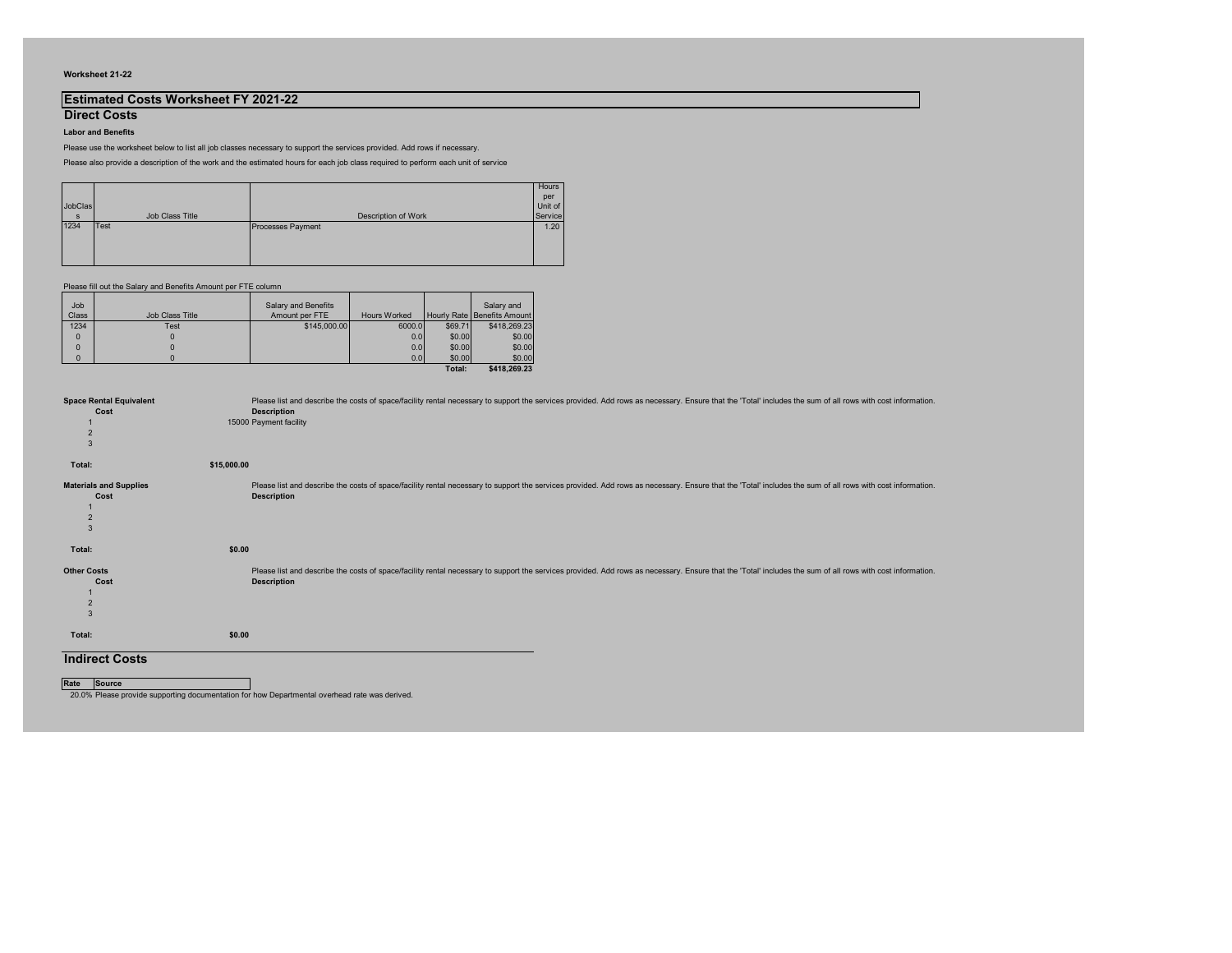#### **Worksheet 21-22**

## **Estimated Costs Worksheet FY 2021-22**

**Direct Costs Labor and Benefits**

Please use the worksheet below to list all job classes necessary to support the services provided. Add rows if necessary.

Please also provide a description of the work and the estimated hours for each job class required to perform each unit of service

| Job<br>Class | <b>Job Class Title</b> | <b>Salary and Benefits</b><br>Amount per FTE | <b>Hours Worked</b> |         | Salary and<br>Hourly Rate   Benefits Amount |
|--------------|------------------------|----------------------------------------------|---------------------|---------|---------------------------------------------|
| 1234         | Test                   | \$145,000.00                                 | 6000.0              | \$69.71 | \$418,269.23                                |
| $\Omega$     |                        |                                              | 0.0                 | \$0.00  | \$0.00                                      |
| $\Omega$     |                        |                                              | 0.0                 | \$0.00  | \$0.00                                      |
| $\mathbf{0}$ |                        |                                              | 0.0                 | \$0.00  | \$0.00                                      |
|              |                        |                                              |                     | Total:  | \$418,269.23                                |

| JobClas      |                 |                          | Hours<br>per<br>Unit of |
|--------------|-----------------|--------------------------|-------------------------|
| <sub>S</sub> | Job Class Title | Description of Work      | Service                 |
| 1234         | Test            | <b>Processes Payment</b> | 1.20                    |
|              |                 |                          |                         |
|              |                 |                          |                         |
|              |                 |                          |                         |

Please fill out the Salary and Benefits Amount per FTE column

| <b>Space Rental Equivalent</b><br>Cost | Please list and describe the costs of space/facility rental necessary to support the services provided. Add rows as necessary. Ensur<br><b>Description</b> |
|----------------------------------------|------------------------------------------------------------------------------------------------------------------------------------------------------------|
|                                        |                                                                                                                                                            |
| $\overline{2}$                         | 15000 Payment facility                                                                                                                                     |
| $\mathbf{3}$                           |                                                                                                                                                            |
| Total:                                 | \$15,000.00                                                                                                                                                |
| <b>Materials and Supplies</b>          | Please list and describe the costs of space/facility rental necessary to support the services provided. Add rows as necessary. Ensur                       |
| Cost                                   | <b>Description</b>                                                                                                                                         |
|                                        |                                                                                                                                                            |
| $\overline{2}$                         |                                                                                                                                                            |
| $\mathfrak{B}$                         |                                                                                                                                                            |
| Total:                                 | \$0.00                                                                                                                                                     |
| <b>Other Costs</b>                     | Please list and describe the costs of space/facility rental necessary to support the services provided. Add rows as necessary. Ensur                       |
| Cost                                   | <b>Description</b>                                                                                                                                         |
|                                        |                                                                                                                                                            |
| $\overline{2}$                         |                                                                                                                                                            |
| $\mathfrak{B}$                         |                                                                                                                                                            |
| Total:                                 | \$0.00                                                                                                                                                     |
| Indiract Costs                         |                                                                                                                                                            |

**Indirect Costs**

**Rate Source**

20.0% Please provide supporting documentation for how Departmental overhead rate was derived.

e that the 'Total' includes the sum of all rows with cost information.

e that the 'Total' includes the sum of all rows with cost information.

re that the 'Total' includes the sum of all rows with cost information.